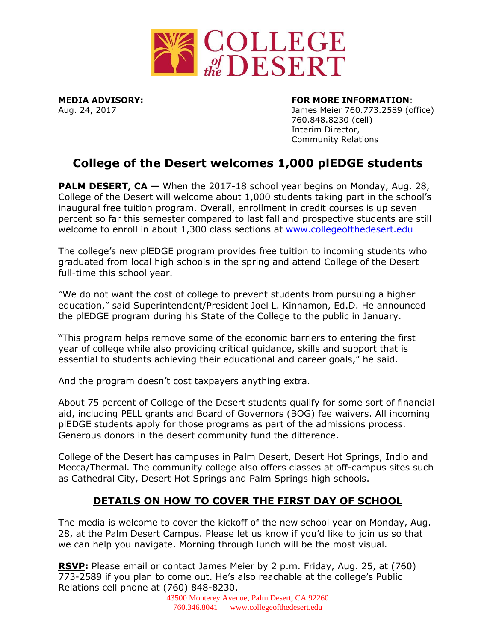

## **MEDIA ADVISORY: FOR MORE INFORMATION**:

Aug. 24, 2017 James Meier 760.773.2589 (office) 760.848.8230 (cell) Interim Director, Community Relations

## **College of the Desert welcomes 1,000 plEDGE students**

**PALM DESERT, CA —** When the 2017-18 school year begins on Monday, Aug. 28, College of the Desert will welcome about 1,000 students taking part in the school's inaugural free tuition program. Overall, enrollment in credit courses is up seven percent so far this semester compared to last fall and prospective students are still welcome to enroll in about 1,300 class sections at [www.collegeofthedesert.edu](http://www.collegeofthedesert.edu/)

The college's new plEDGE program provides free tuition to incoming students who graduated from local high schools in the spring and attend College of the Desert full-time this school year.

"We do not want the cost of college to prevent students from pursuing a higher education," said Superintendent/President Joel L. Kinnamon, Ed.D. He announced the plEDGE program during his State of the College to the public in January.

"This program helps remove some of the economic barriers to entering the first year of college while also providing critical guidance, skills and support that is essential to students achieving their educational and career goals," he said.

And the program doesn't cost taxpayers anything extra.

About 75 percent of College of the Desert students qualify for some sort of financial aid, including PELL grants and Board of Governors (BOG) fee waivers. All incoming plEDGE students apply for those programs as part of the admissions process. Generous donors in the desert community fund the difference.

College of the Desert has campuses in Palm Desert, Desert Hot Springs, Indio and Mecca/Thermal. The community college also offers classes at off-campus sites such as Cathedral City, Desert Hot Springs and Palm Springs high schools.

## **DETAILS ON HOW TO COVER THE FIRST DAY OF SCHOOL**

The media is welcome to cover the kickoff of the new school year on Monday, Aug. 28, at the Palm Desert Campus. Please let us know if you'd like to join us so that we can help you navigate. Morning through lunch will be the most visual.

**RSVP:** Please email or contact James Meier by 2 p.m. Friday, Aug. 25, at (760) 773-2589 if you plan to come out. He's also reachable at the college's Public Relations cell phone at (760) 848-8230.